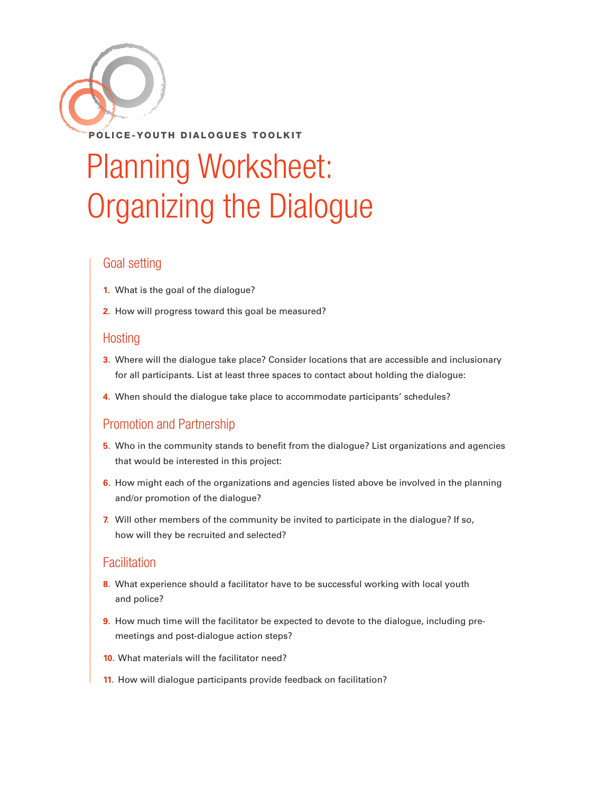

# Planning Worksheet: Organizing the Dialogue

## Goal setting

- **1.** What is the goal of the dialogue?
- **2.** How will progress toward this goal be measured?

## Hosting

- **3.** Where will the dialogue take place? Consider locations that are accessible and inclusionary for all participants. List at least three spaces to contact about holding the dialogue:
- **4.** When should the dialogue take place to accommodate participants' schedules?

# Promotion and Partnership

- **5.** Who in the community stands to benefit from the dialogue? List organizations and agencies that would be interested in this project:
- **6.** How might each of the organizations and agencies listed above be involved in the planning and/or promotion of the dialogue?
- **7.** Will other members of the community be invited to participate in the dialogue? If so, how will they be recruited and selected?

# **Facilitation**

- **8.** What experience should a facilitator have to be successful working with local youth and police?
- **9.** How much time will the facilitator be expected to devote to the dialogue, including premeetings and post-dialogue action steps?
- **10.** What materials will the facilitator need?
- **11.** How will dialogue participants provide feedback on facilitation?